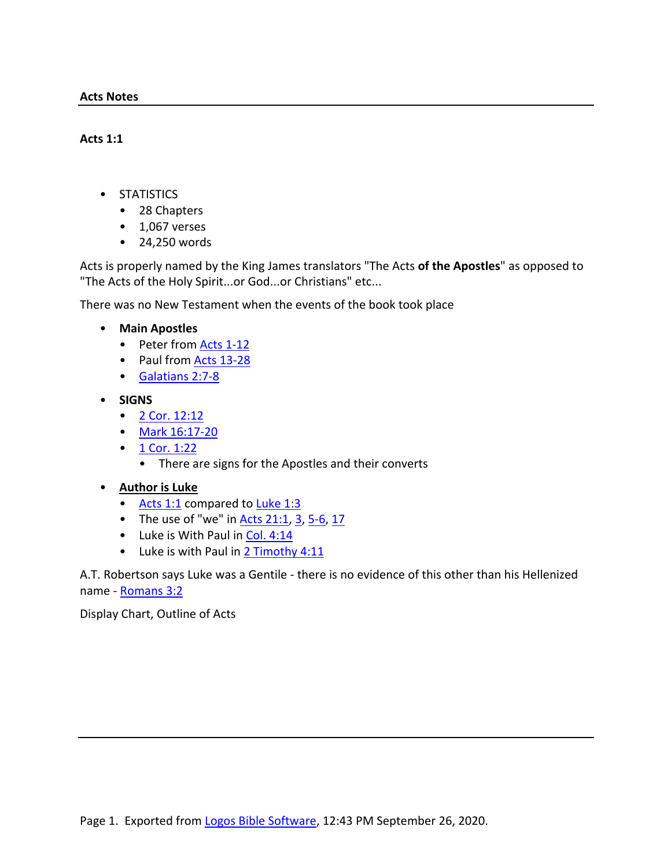- STATISTICS
	- 28 Chapters
	- $\cdot$  1,067 verses
	- 24,250 words

Acts is properly named by the King James translators "The Acts **of the Apostles**" as opposed to "The Acts of the Holy Spirit...or God...or Christians" etc...

There was no New Testament when the events of the book took place

- **Main Apostles**
	- Peter from Acts 1-12
	- Paul from Acts 13-28
	- Galatians 2:7-8
- **SIGNS**
	- 2 Cor. 12:12
	- Mark 16:17-20
	- $1$  Cor. 1:22
		- There are signs for the Apostles and their converts
- **Author is Luke**
	- Acts 1:1 compared to Luke 1:3
	- The use of "we" in  $\frac{\text{Acts }21:1}{\text{Sts }21:1}$ ,  $\frac{3}{5}$ ,  $\frac{5-6}{5}$ ,  $\frac{17}{5}$
	- Luke is With Paul in Col. 4:14
	- Luke is with Paul in 2 Timothy 4:11

A.T. Robertson says Luke was a Gentile - there is no evidence of this other than his Hellenized name - Romans 3:2

Display Chart, Outline of Acts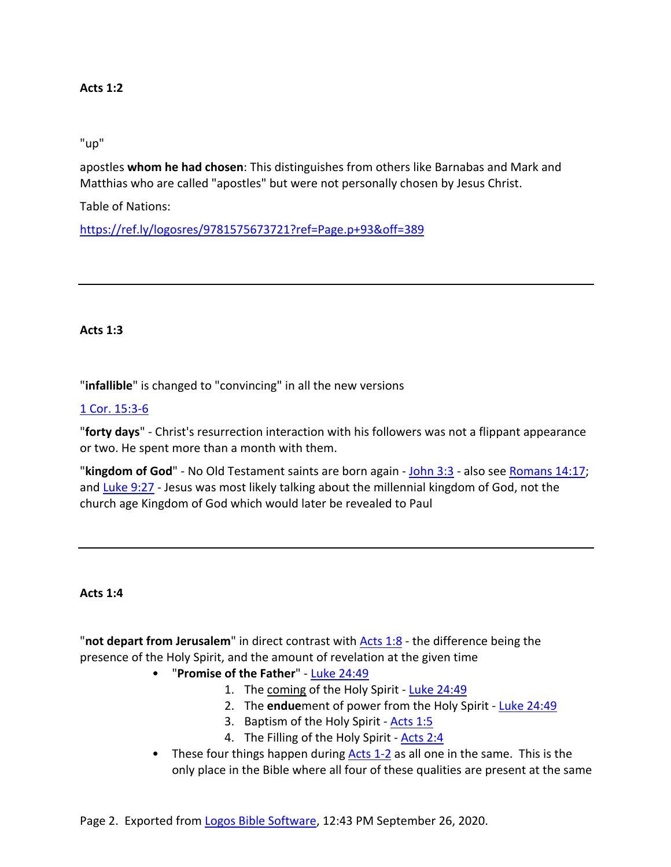# "up"

apostles **whom he had chosen**: This distinguishes from others like Barnabas and Mark and Matthias who are called "apostles" but were not personally chosen by Jesus Christ.

Table of Nations:

https://ref.ly/logosres/9781575673721?ref=Page.p+93&off=389

## **Acts 1:3**

"**infallible**" is changed to "convincing" in all the new versions

# 1 Cor. 15:3-6

"**forty days**" - Christ's resurrection interaction with his followers was not a flippant appearance or two. He spent more than a month with them.

"**kingdom of God**" - No Old Testament saints are born again - John 3:3 - also see Romans 14:17; and Luke 9:27 - Jesus was most likely talking about the millennial kingdom of God, not the church age Kingdom of God which would later be revealed to Paul

## **Acts 1:4**

"**not depart from Jerusalem**" in direct contrast with Acts 1:8 - the difference being the presence of the Holy Spirit, and the amount of revelation at the given time

- "**Promise of the Father**" Luke 24:49
	- 1. The coming of the Holy Spirit Luke 24:49
	- 2. The **endue**ment of power from the Holy Spirit Luke 24:49
	- 3. Baptism of the Holy Spirit Acts 1:5
	- 4. The Filling of the Holy Spirit Acts 2:4
- These four things happen during Acts 1-2 as all one in the same. This is the only place in the Bible where all four of these qualities are present at the same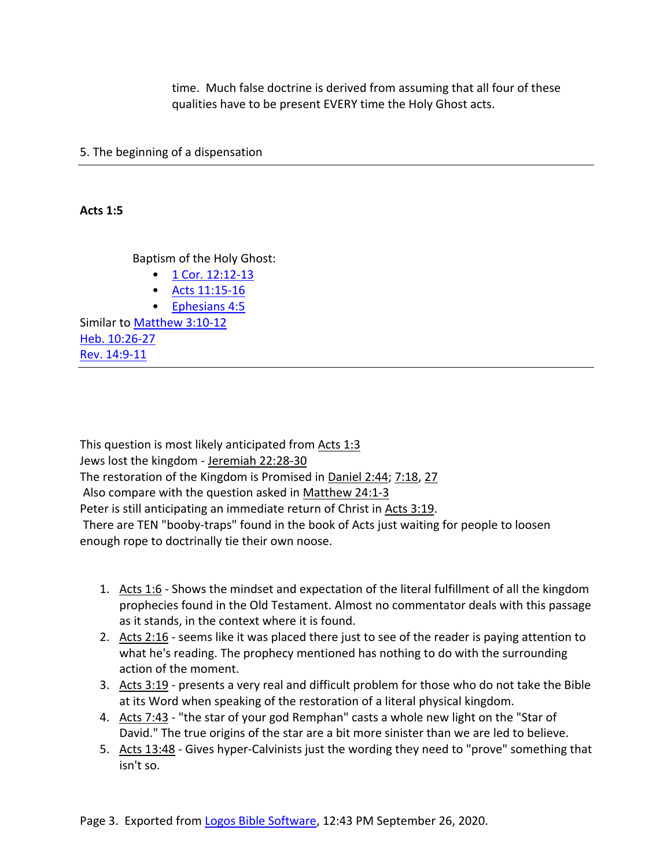time. Much false doctrine is derived from assuming that all four of these qualities have to be present EVERY time the Holy Ghost acts.

5. The beginning of a dispensation

**Acts 1:5**

Baptism of the Holy Ghost:

- $1$  Cor. 12:12-13
- Acts 11:15-16
- Ephesians 4:5

Similar to Matthew 3:10-12 Heb. 10:26-27 Rev. 14:9-11

This question is most likely anticipated from Acts 1:3 Jews lost the kingdom - Jeremiah 22:28-30 The restoration of the Kingdom is Promised in Daniel 2:44; 7:18, 27 Also compare with the question asked in Matthew 24:1-3 Peter is still anticipating an immediate return of Christ in Acts 3:19. There are TEN "booby-traps" found in the book of Acts just waiting for people to loosen enough rope to doctrinally tie their own noose.

- 1. Acts 1:6 Shows the mindset and expectation of the literal fulfillment of all the kingdom prophecies found in the Old Testament. Almost no commentator deals with this passage as it stands, in the context where it is found.
- 2. Acts 2:16 seems like it was placed there just to see of the reader is paying attention to what he's reading. The prophecy mentioned has nothing to do with the surrounding action of the moment.
- 3. Acts 3:19 presents a very real and difficult problem for those who do not take the Bible at its Word when speaking of the restoration of a literal physical kingdom.
- 4. Acts 7:43 "the star of your god Remphan" casts a whole new light on the "Star of David." The true origins of the star are a bit more sinister than we are led to believe.
- 5. Acts 13:48 Gives hyper-Calvinists just the wording they need to "prove" something that isn't so.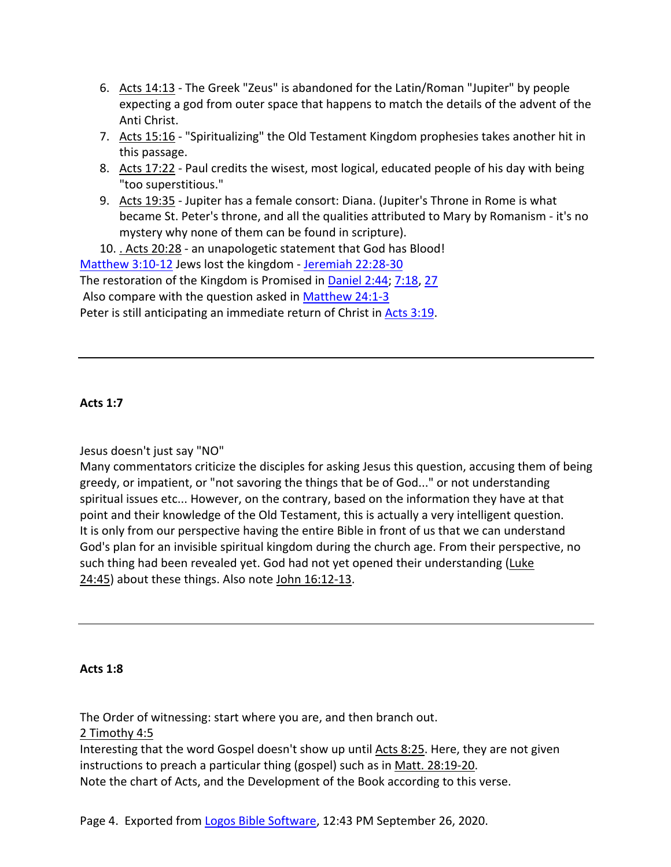- 6. Acts 14:13 The Greek "Zeus" is abandoned for the Latin/Roman "Jupiter" by people expecting a god from outer space that happens to match the details of the advent of the Anti Christ.
- 7. Acts 15:16 "Spiritualizing" the Old Testament Kingdom prophesies takes another hit in this passage.
- 8. Acts 17:22 Paul credits the wisest, most logical, educated people of his day with being "too superstitious."
- 9. Acts 19:35 Jupiter has a female consort: Diana. (Jupiter's Throne in Rome is what became St. Peter's throne, and all the qualities attributed to Mary by Romanism - it's no mystery why none of them can be found in scripture).

10. . Acts 20:28 - an unapologetic statement that God has Blood!

Matthew 3:10-12 Jews lost the kingdom - Jeremiah 22:28-30

The restoration of the Kingdom is Promised in Daniel 2:44; 7:18, 27

Also compare with the question asked in Matthew 24:1-3

Peter is still anticipating an immediate return of Christ in Acts 3:19.

# **Acts 1:7**

Jesus doesn't just say "NO"

Many commentators criticize the disciples for asking Jesus this question, accusing them of being greedy, or impatient, or "not savoring the things that be of God..." or not understanding spiritual issues etc... However, on the contrary, based on the information they have at that point and their knowledge of the Old Testament, this is actually a very intelligent question. It is only from our perspective having the entire Bible in front of us that we can understand God's plan for an invisible spiritual kingdom during the church age. From their perspective, no such thing had been revealed yet. God had not yet opened their understanding (Luke 24:45) about these things. Also note John 16:12-13.

## **Acts 1:8**

The Order of witnessing: start where you are, and then branch out.

2 Timothy 4:5

Interesting that the word Gospel doesn't show up until Acts 8:25. Here, they are not given instructions to preach a particular thing (gospel) such as in Matt. 28:19-20. Note the chart of Acts, and the Development of the Book according to this verse.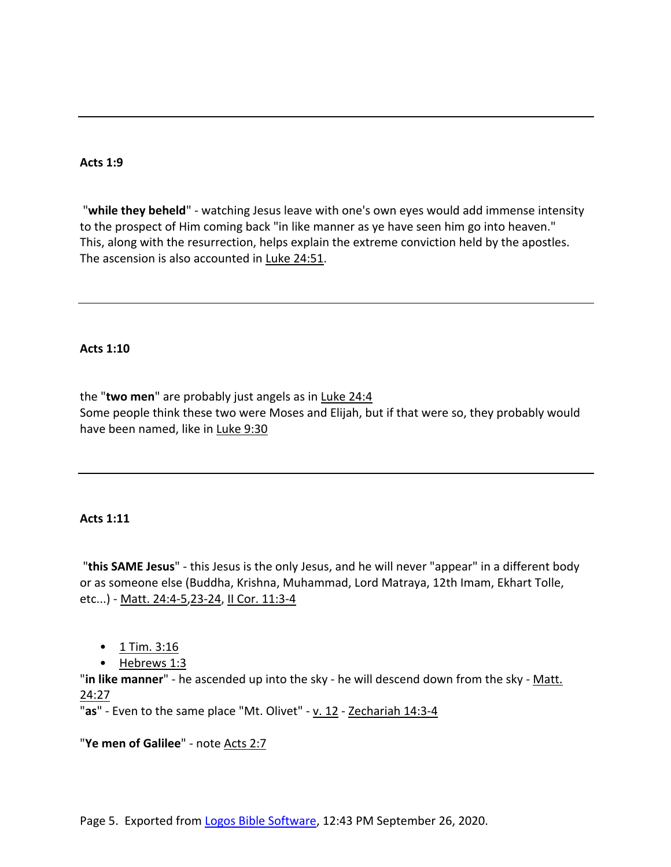"**while they beheld**" - watching Jesus leave with one's own eyes would add immense intensity to the prospect of Him coming back "in like manner as ye have seen him go into heaven." This, along with the resurrection, helps explain the extreme conviction held by the apostles. The ascension is also accounted in Luke 24:51.

### **Acts 1:10**

the "**two men**" are probably just angels as in Luke 24:4 Some people think these two were Moses and Elijah, but if that were so, they probably would have been named, like in Luke 9:30

## **Acts 1:11**

"**this SAME Jesus**" - this Jesus is the only Jesus, and he will never "appear" in a different body or as someone else (Buddha, Krishna, Muhammad, Lord Matraya, 12th Imam, Ekhart Tolle, etc...) - Matt. 24:4-5,23-24, II Cor. 11:3-4

- 1 Tim. 3:16
- Hebrews 1:3

"**in like manner**" - he ascended up into the sky - he will descend down from the sky - Matt. 24:27

"as" - Even to the same place "Mt. Olivet" - v. 12 - Zechariah 14:3-4

"**Ye men of Galilee**" - note Acts 2:7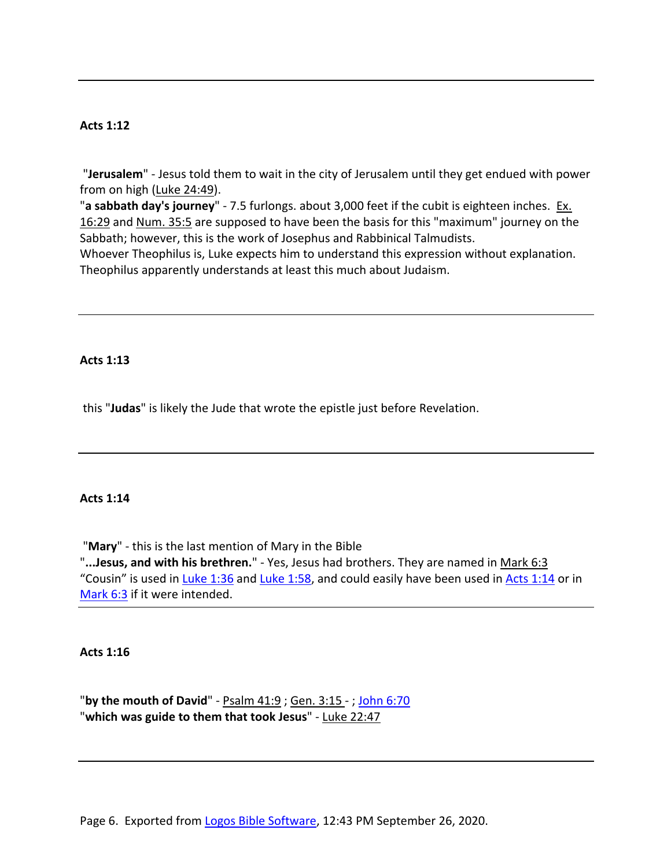"**Jerusalem**" - Jesus told them to wait in the city of Jerusalem until they get endued with power from on high (Luke 24:49).

"**a sabbath day's journey**" - 7.5 furlongs. about 3,000 feet if the cubit is eighteen inches. Ex. 16:29 and Num. 35:5 are supposed to have been the basis for this "maximum" journey on the Sabbath; however, this is the work of Josephus and Rabbinical Talmudists.

Whoever Theophilus is, Luke expects him to understand this expression without explanation. Theophilus apparently understands at least this much about Judaism.

### **Acts 1:13**

this "**Judas**" is likely the Jude that wrote the epistle just before Revelation.

### **Acts 1:14**

"**Mary**" - this is the last mention of Mary in the Bible "**...Jesus, and with his brethren.**" - Yes, Jesus had brothers. They are named in Mark 6:3 "Cousin" is used in Luke 1:36 and Luke 1:58, and could easily have been used in Acts 1:14 or in Mark 6:3 if it were intended.

**Acts 1:16**

"**by the mouth of David**" - Psalm 41:9 ; Gen. 3:15 - ; John 6:70 "**which was guide to them that took Jesus**" - Luke 22:47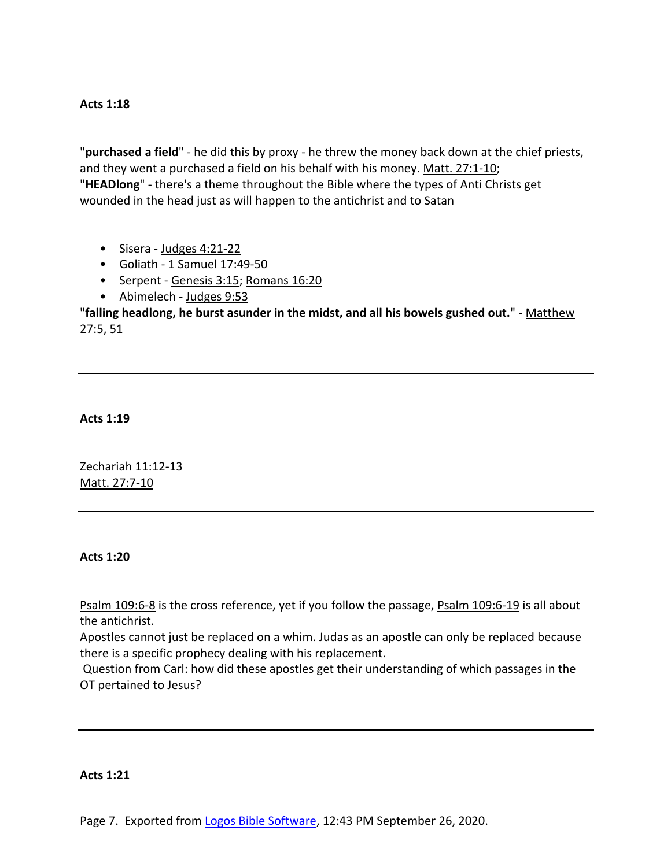"**purchased a field**" - he did this by proxy - he threw the money back down at the chief priests, and they went a purchased a field on his behalf with his money. Matt. 27:1-10; "**HEADlong**" - there's a theme throughout the Bible where the types of Anti Christs get wounded in the head just as will happen to the antichrist and to Satan

- Sisera Judges 4:21-22
- Goliath 1 Samuel 17:49-50
- Serpent Genesis 3:15; Romans 16:20
- Abimelech Judges 9:53

"**falling headlong, he burst asunder in the midst, and all his bowels gushed out.**" - Matthew  $27:5, 51$ 

**Acts 1:19**

Zechariah 11:12-13 Matt. 27:7-10

### **Acts 1:20**

Psalm 109:6-8 is the cross reference, yet if you follow the passage, Psalm 109:6-19 is all about the antichrist.

Apostles cannot just be replaced on a whim. Judas as an apostle can only be replaced because there is a specific prophecy dealing with his replacement.

Question from Carl: how did these apostles get their understanding of which passages in the OT pertained to Jesus?

### **Acts 1:21**

Page 7. Exported from Logos Bible Software, 12:43 PM September 26, 2020.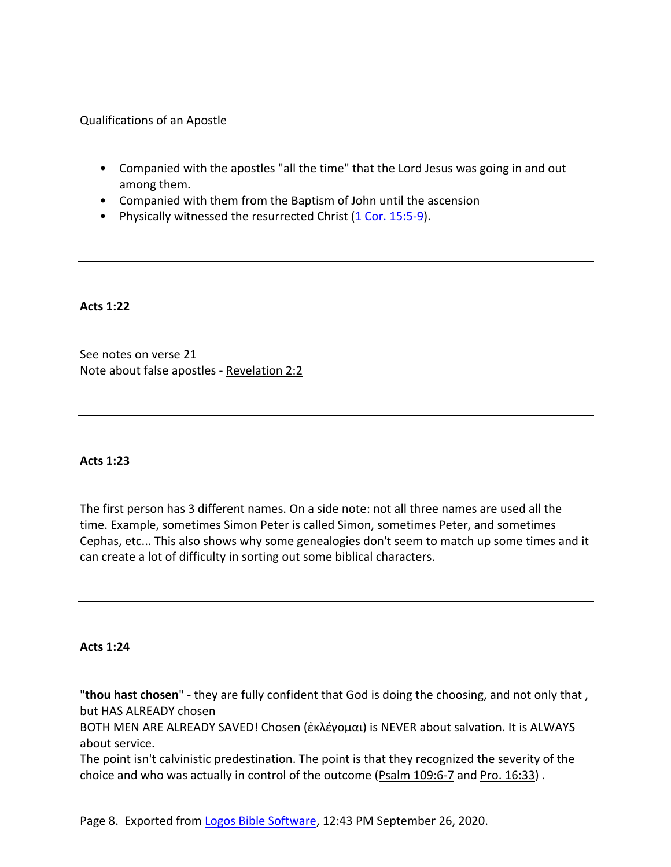Qualifications of an Apostle

- Companied with the apostles "all the time" that the Lord Jesus was going in and out among them.
- Companied with them from the Baptism of John until the ascension
- Physically witnessed the resurrected Christ (1 Cor. 15:5-9).

**Acts 1:22**

See notes on verse 21 Note about false apostles - Revelation 2:2

## **Acts 1:23**

The first person has 3 different names. On a side note: not all three names are used all the time. Example, sometimes Simon Peter is called Simon, sometimes Peter, and sometimes Cephas, etc... This also shows why some genealogies don't seem to match up some times and it can create a lot of difficulty in sorting out some biblical characters.

**Acts 1:24**

"**thou hast chosen**" - they are fully confident that God is doing the choosing, and not only that , but HAS ALREADY chosen

BOTH MEN ARE ALREADY SAVED! Chosen (ἐκλέγομαι) is NEVER about salvation. It is ALWAYS about service.

The point isn't calvinistic predestination. The point is that they recognized the severity of the choice and who was actually in control of the outcome (Psalm 109:6-7 and Pro. 16:33) .

Page 8. Exported from Logos Bible Software, 12:43 PM September 26, 2020.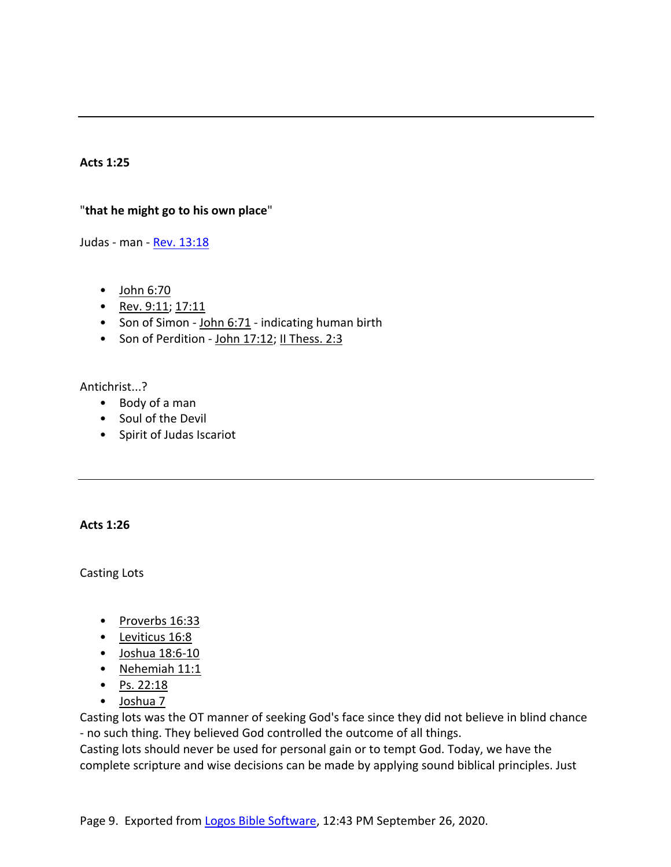# "**that he might go to his own place**"

Judas - man - Rev. 13:18

- John 6:70
- Rev. 9:11; 17:11
- Son of Simon John 6:71 indicating human birth
- Son of Perdition John 17:12; II Thess. 2:3

## Antichrist...?

- Body of a man
- Soul of the Devil
- Spirit of Judas Iscariot

## **Acts 1:26**

Casting Lots

- Proverbs 16:33
- Leviticus 16:8
- Joshua 18:6-10
- Nehemiah 11:1
- Ps.  $22:18$
- Joshua 7

Casting lots was the OT manner of seeking God's face since they did not believe in blind chance - no such thing. They believed God controlled the outcome of all things.

Casting lots should never be used for personal gain or to tempt God. Today, we have the complete scripture and wise decisions can be made by applying sound biblical principles. Just